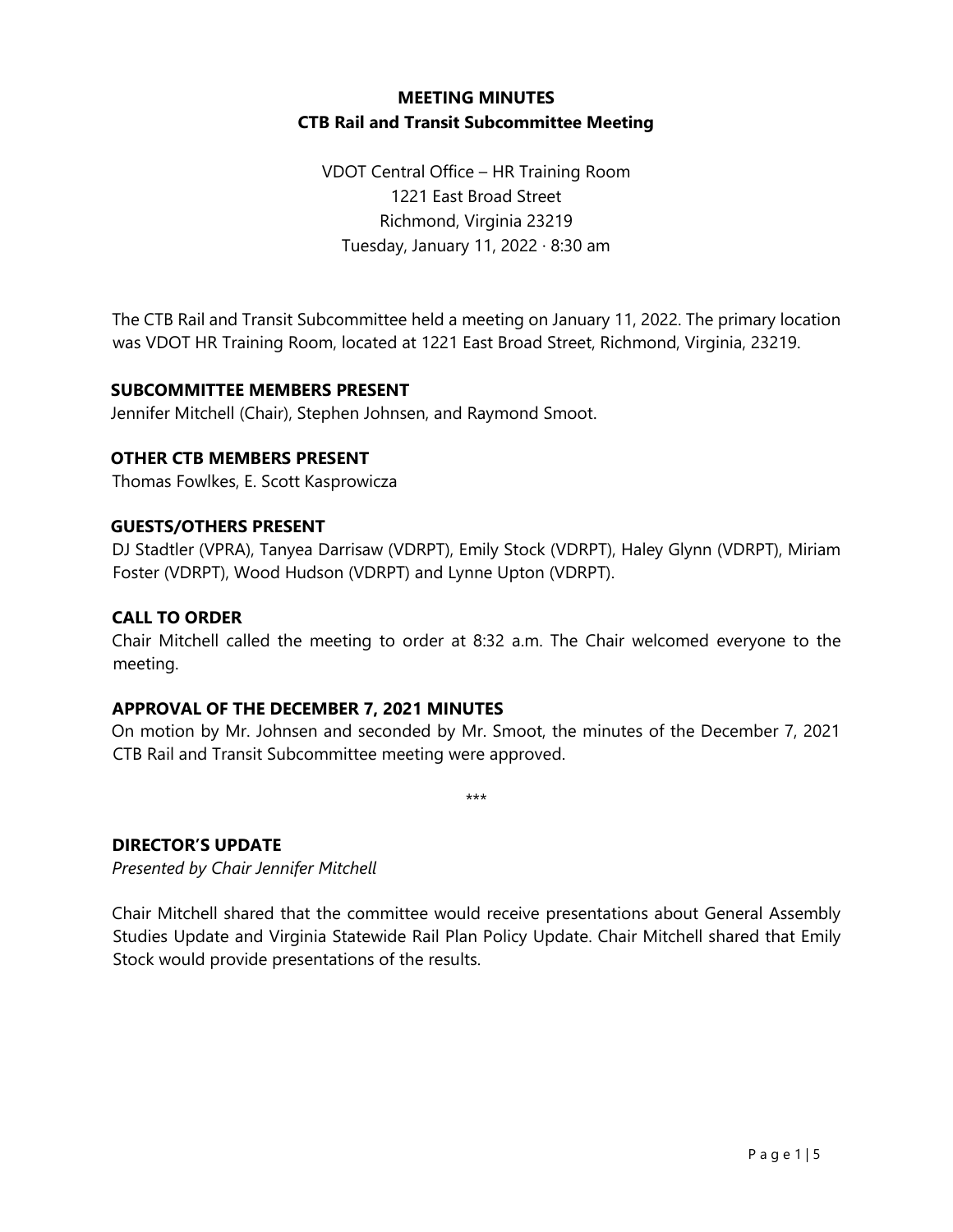## **MEETING MINUTES CTB Rail and Transit Subcommittee Meeting**

VDOT Central Office – HR Training Room 1221 East Broad Street Richmond, Virginia 23219 Tuesday, January 11, 2022 · 8:30 am

The CTB Rail and Transit Subcommittee held a meeting on January 11, 2022. The primary location was VDOT HR Training Room, located at 1221 East Broad Street, Richmond, Virginia, 23219.

### **SUBCOMMITTEE MEMBERS PRESENT**

Jennifer Mitchell (Chair), Stephen Johnsen, and Raymond Smoot.

## **OTHER CTB MEMBERS PRESENT**

Thomas Fowlkes, E. Scott Kasprowicza

### **GUESTS/OTHERS PRESENT**

DJ Stadtler (VPRA), Tanyea Darrisaw (VDRPT), Emily Stock (VDRPT), Haley Glynn (VDRPT), Miriam Foster (VDRPT), Wood Hudson (VDRPT) and Lynne Upton (VDRPT).

### **CALL TO ORDER**

Chair Mitchell called the meeting to order at 8:32 a.m. The Chair welcomed everyone to the meeting.

### **APPROVAL OF THE DECEMBER 7, 2021 MINUTES**

On motion by Mr. Johnsen and seconded by Mr. Smoot, the minutes of the December 7, 2021 CTB Rail and Transit Subcommittee meeting were approved.

\*\*\*

# **DIRECTOR'S UPDATE**

*Presented by Chair Jennifer Mitchell*

Chair Mitchell shared that the committee would receive presentations about General Assembly Studies Update and Virginia Statewide Rail Plan Policy Update. Chair Mitchell shared that Emily Stock would provide presentations of the results.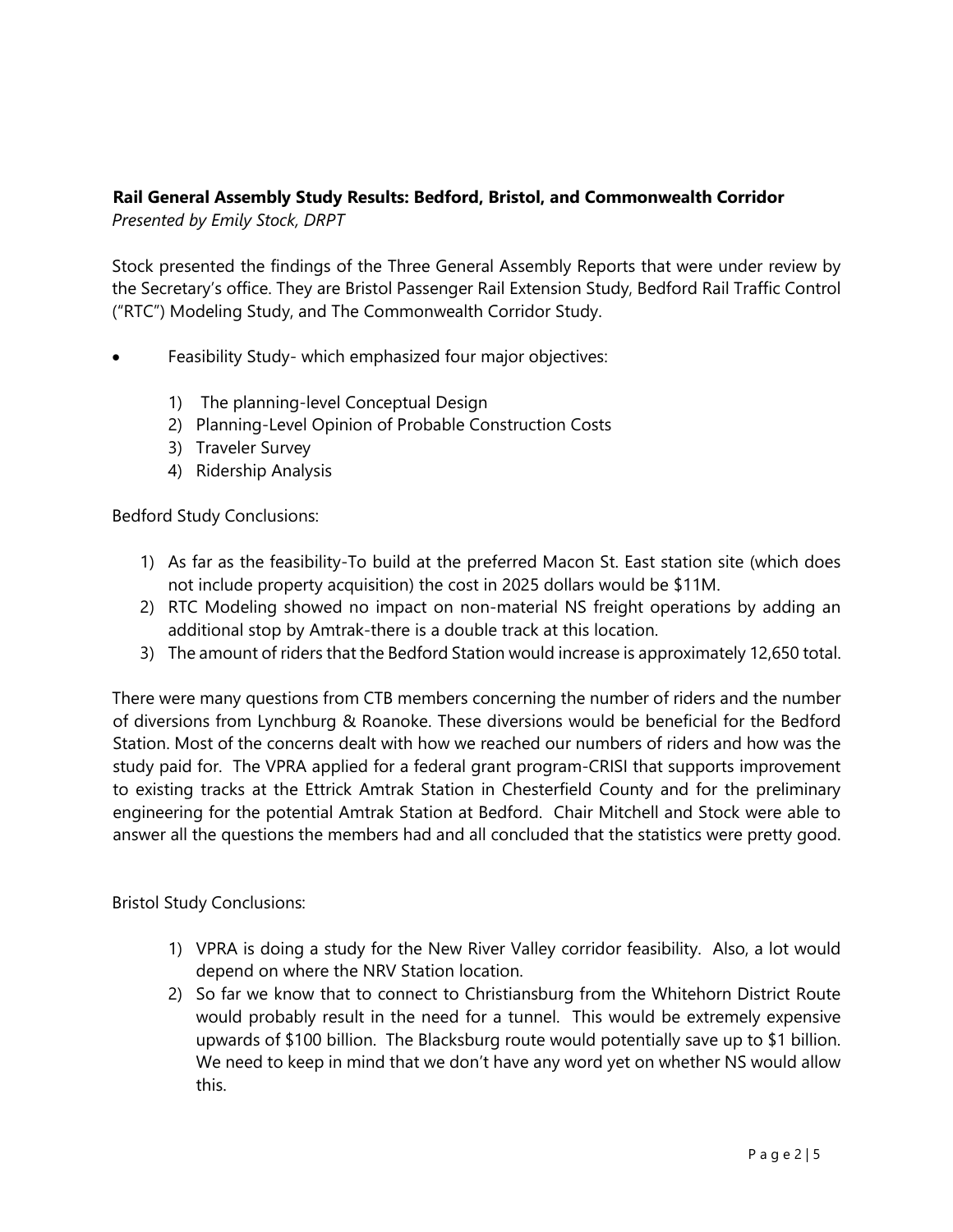## **Rail General Assembly Study Results: Bedford, Bristol, and Commonwealth Corridor** *Presented by Emily Stock, DRPT*

Stock presented the findings of the Three General Assembly Reports that were under review by the Secretary's office. They are Bristol Passenger Rail Extension Study, Bedford Rail Traffic Control ("RTC") Modeling Study, and The Commonwealth Corridor Study.

- Feasibility Study- which emphasized four major objectives:
	- 1) The planning-level Conceptual Design
	- 2) Planning-Level Opinion of Probable Construction Costs
	- 3) Traveler Survey
	- 4) Ridership Analysis

Bedford Study Conclusions:

- 1) As far as the feasibility-To build at the preferred Macon St. East station site (which does not include property acquisition) the cost in 2025 dollars would be \$11M.
- 2) RTC Modeling showed no impact on non-material NS freight operations by adding an additional stop by Amtrak-there is a double track at this location.
- 3) The amount of riders that the Bedford Station would increase is approximately 12,650 total.

There were many questions from CTB members concerning the number of riders and the number of diversions from Lynchburg & Roanoke. These diversions would be beneficial for the Bedford Station. Most of the concerns dealt with how we reached our numbers of riders and how was the study paid for. The VPRA applied for a federal grant program-CRISI that supports improvement to existing tracks at the Ettrick Amtrak Station in Chesterfield County and for the preliminary engineering for the potential Amtrak Station at Bedford. Chair Mitchell and Stock were able to answer all the questions the members had and all concluded that the statistics were pretty good.

Bristol Study Conclusions:

- 1) VPRA is doing a study for the New River Valley corridor feasibility. Also, a lot would depend on where the NRV Station location.
- 2) So far we know that to connect to Christiansburg from the Whitehorn District Route would probably result in the need for a tunnel. This would be extremely expensive upwards of \$100 billion. The Blacksburg route would potentially save up to \$1 billion. We need to keep in mind that we don't have any word yet on whether NS would allow this.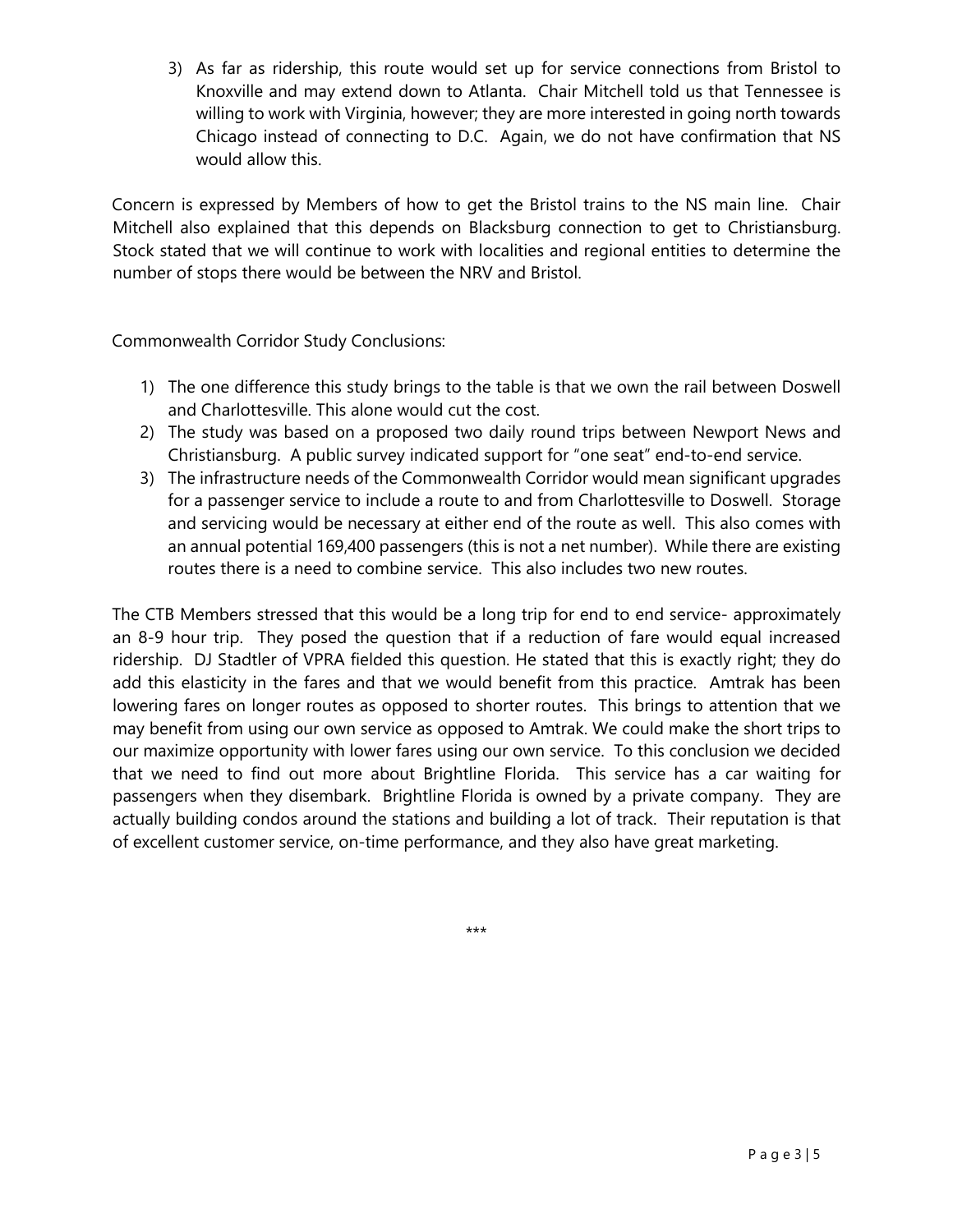3) As far as ridership, this route would set up for service connections from Bristol to Knoxville and may extend down to Atlanta. Chair Mitchell told us that Tennessee is willing to work with Virginia, however; they are more interested in going north towards Chicago instead of connecting to D.C. Again, we do not have confirmation that NS would allow this.

Concern is expressed by Members of how to get the Bristol trains to the NS main line. Chair Mitchell also explained that this depends on Blacksburg connection to get to Christiansburg. Stock stated that we will continue to work with localities and regional entities to determine the number of stops there would be between the NRV and Bristol.

Commonwealth Corridor Study Conclusions:

- 1) The one difference this study brings to the table is that we own the rail between Doswell and Charlottesville. This alone would cut the cost.
- 2) The study was based on a proposed two daily round trips between Newport News and Christiansburg. A public survey indicated support for "one seat" end-to-end service.
- 3) The infrastructure needs of the Commonwealth Corridor would mean significant upgrades for a passenger service to include a route to and from Charlottesville to Doswell. Storage and servicing would be necessary at either end of the route as well. This also comes with an annual potential 169,400 passengers (this is not a net number). While there are existing routes there is a need to combine service. This also includes two new routes.

The CTB Members stressed that this would be a long trip for end to end service- approximately an 8-9 hour trip. They posed the question that if a reduction of fare would equal increased ridership. DJ Stadtler of VPRA fielded this question. He stated that this is exactly right; they do add this elasticity in the fares and that we would benefit from this practice. Amtrak has been lowering fares on longer routes as opposed to shorter routes. This brings to attention that we may benefit from using our own service as opposed to Amtrak. We could make the short trips to our maximize opportunity with lower fares using our own service. To this conclusion we decided that we need to find out more about Brightline Florida. This service has a car waiting for passengers when they disembark. Brightline Florida is owned by a private company. They are actually building condos around the stations and building a lot of track. Their reputation is that of excellent customer service, on-time performance, and they also have great marketing.

\*\*\*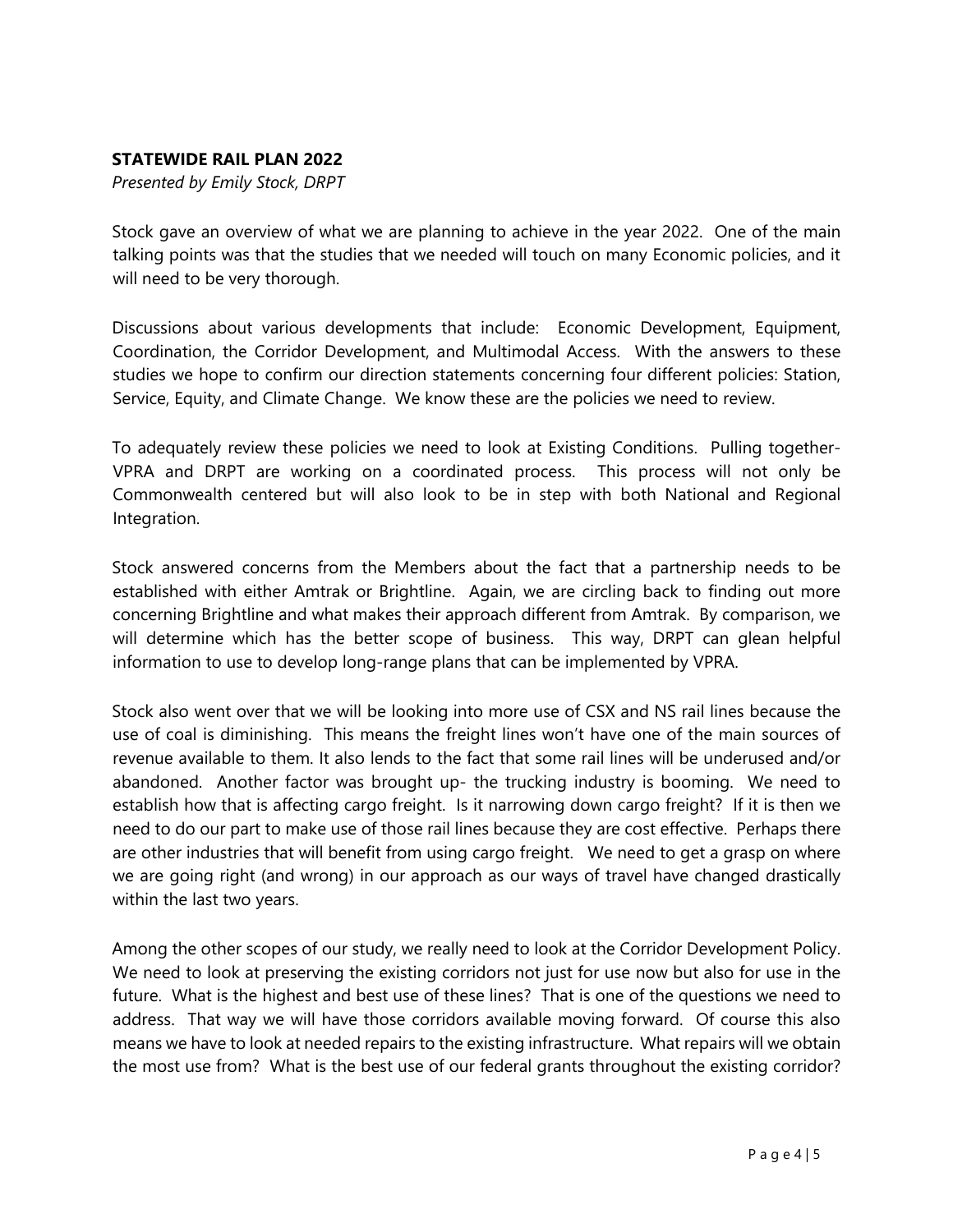### **STATEWIDE RAIL PLAN 2022**

*Presented by Emily Stock, DRPT*

Stock gave an overview of what we are planning to achieve in the year 2022. One of the main talking points was that the studies that we needed will touch on many Economic policies, and it will need to be very thorough.

Discussions about various developments that include: Economic Development, Equipment, Coordination, the Corridor Development, and Multimodal Access. With the answers to these studies we hope to confirm our direction statements concerning four different policies: Station, Service, Equity, and Climate Change. We know these are the policies we need to review.

To adequately review these policies we need to look at Existing Conditions. Pulling together-VPRA and DRPT are working on a coordinated process. This process will not only be Commonwealth centered but will also look to be in step with both National and Regional Integration.

Stock answered concerns from the Members about the fact that a partnership needs to be established with either Amtrak or Brightline. Again, we are circling back to finding out more concerning Brightline and what makes their approach different from Amtrak. By comparison, we will determine which has the better scope of business. This way, DRPT can glean helpful information to use to develop long-range plans that can be implemented by VPRA.

Stock also went over that we will be looking into more use of CSX and NS rail lines because the use of coal is diminishing. This means the freight lines won't have one of the main sources of revenue available to them. It also lends to the fact that some rail lines will be underused and/or abandoned. Another factor was brought up- the trucking industry is booming. We need to establish how that is affecting cargo freight. Is it narrowing down cargo freight? If it is then we need to do our part to make use of those rail lines because they are cost effective. Perhaps there are other industries that will benefit from using cargo freight. We need to get a grasp on where we are going right (and wrong) in our approach as our ways of travel have changed drastically within the last two years.

Among the other scopes of our study, we really need to look at the Corridor Development Policy. We need to look at preserving the existing corridors not just for use now but also for use in the future. What is the highest and best use of these lines? That is one of the questions we need to address. That way we will have those corridors available moving forward. Of course this also means we have to look at needed repairs to the existing infrastructure. What repairs will we obtain the most use from? What is the best use of our federal grants throughout the existing corridor?